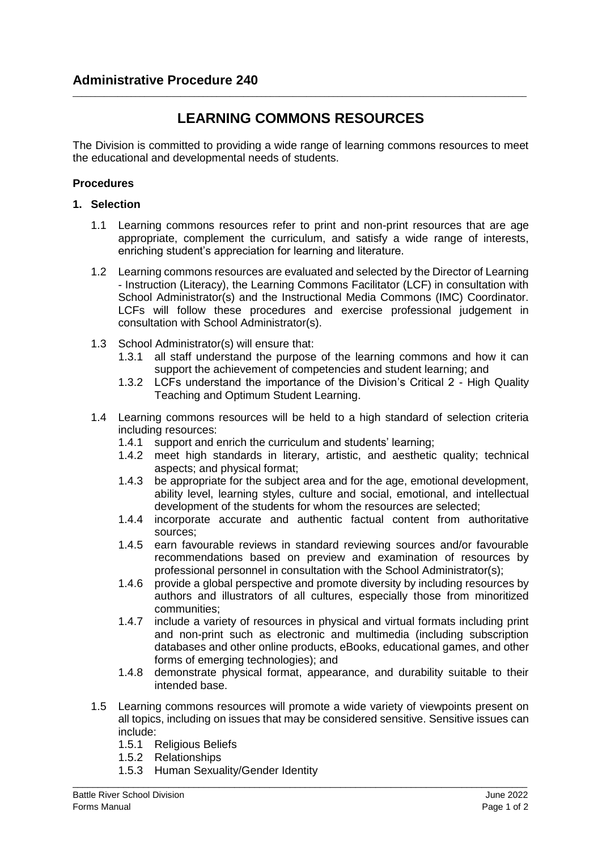# **LEARNING COMMONS RESOURCES**

\_\_\_\_\_\_\_\_\_\_\_\_\_\_\_\_\_\_\_\_\_\_\_\_\_\_\_\_\_\_\_\_\_\_\_\_\_\_\_\_\_\_\_\_\_\_\_\_\_\_\_\_\_\_\_\_\_\_\_\_\_\_\_\_\_\_\_\_\_\_\_\_\_\_\_\_\_\_\_\_\_\_\_\_\_\_\_\_\_\_\_\_\_\_\_\_\_\_\_\_\_

The Division is committed to providing a wide range of learning commons resources to meet the educational and developmental needs of students.

# **Procedures**

## **1. Selection**

- 1.1 Learning commons resources refer to print and non-print resources that are age appropriate, complement the curriculum, and satisfy a wide range of interests, enriching student's appreciation for learning and literature.
- 1.2 Learning commons resources are evaluated and selected by the Director of Learning - Instruction (Literacy), the Learning Commons Facilitator (LCF) in consultation with School Administrator(s) and the Instructional Media Commons (IMC) Coordinator. LCFs will follow these procedures and exercise professional judgement in consultation with School Administrator(s).
- 1.3 School Administrator(s) will ensure that:
	- 1.3.1 all staff understand the purpose of the learning commons and how it can support the achievement of competencies and student learning; and
	- 1.3.2 LCFs understand the importance of the Division's Critical 2 High Quality Teaching and Optimum Student Learning.
- 1.4 Learning commons resources will be held to a high standard of selection criteria including resources:<br>1.4.1 support and a
	- support and enrich the curriculum and students' learning;
	- 1.4.2 meet high standards in literary, artistic, and aesthetic quality; technical aspects; and physical format;
	- 1.4.3 be appropriate for the subject area and for the age, emotional development, ability level, learning styles, culture and social, emotional, and intellectual development of the students for whom the resources are selected;
	- 1.4.4 incorporate accurate and authentic factual content from authoritative sources;
	- 1.4.5 earn favourable reviews in standard reviewing sources and/or favourable recommendations based on preview and examination of resources by professional personnel in consultation with the School Administrator(s);
	- 1.4.6 provide a global perspective and promote diversity by including resources by authors and illustrators of all cultures, especially those from minoritized communities;
	- 1.4.7 include a variety of resources in physical and virtual formats including print and non-print such as electronic and multimedia (including subscription databases and other online products, eBooks, educational games, and other forms of emerging technologies); and
	- 1.4.8 demonstrate physical format, appearance, and durability suitable to their intended base.
- 1.5 Learning commons resources will promote a wide variety of viewpoints present on all topics, including on issues that may be considered sensitive. Sensitive issues can include:

\_\_\_\_\_\_\_\_\_\_\_\_\_\_\_\_\_\_\_\_\_\_\_\_\_\_\_\_\_\_\_\_\_\_\_\_\_\_\_\_\_\_\_\_\_\_\_\_\_\_\_\_\_\_\_\_\_\_\_\_\_\_\_\_\_\_\_\_\_\_\_\_\_\_\_\_\_\_\_\_\_\_\_\_\_\_\_\_\_\_

- 1.5.1 Religious Beliefs
- 1.5.2 Relationships
- 1.5.3 Human Sexuality/Gender Identity